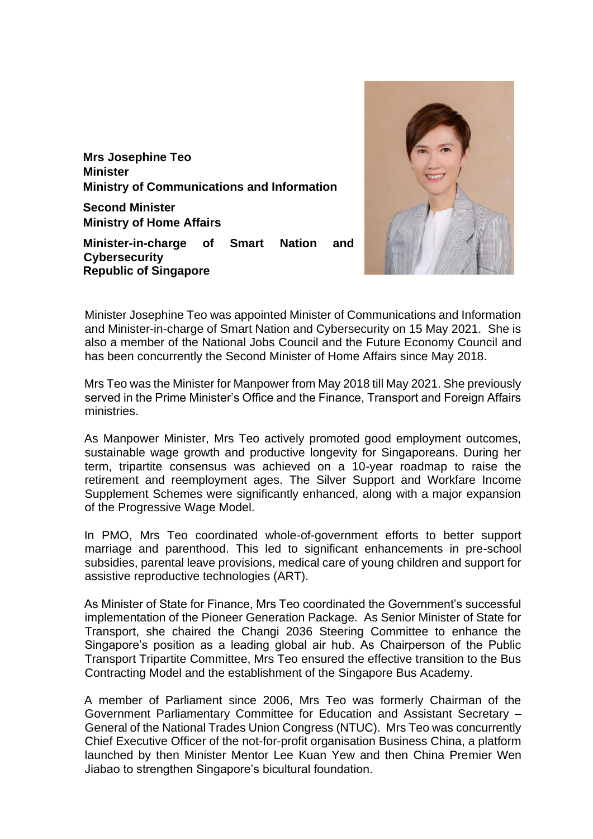**Mrs Josephine Teo Minister Ministry of Communications and Information**

**Second Minister Ministry of Home Affairs**

**Minister-in-charge of Smart Nation and Cybersecurity Republic of Singapore**



Minister Josephine Teo was appointed Minister of Communications and Information and Minister-in-charge of Smart Nation and Cybersecurity on 15 May 2021. She is also a member of the National Jobs Council and the Future Economy Council and has been concurrently the Second Minister of Home Affairs since May 2018.

Mrs Teo was the Minister for Manpower from May 2018 till May 2021. She previously served in the Prime Minister's Office and the Finance, Transport and Foreign Affairs ministries.

As Manpower Minister, Mrs Teo actively promoted good employment outcomes, sustainable wage growth and productive longevity for Singaporeans. During her term, tripartite consensus was achieved on a 10-year roadmap to raise the retirement and reemployment ages. The Silver Support and Workfare Income Supplement Schemes were significantly enhanced, along with a major expansion of the Progressive Wage Model.

In PMO, Mrs Teo coordinated whole-of-government efforts to better support marriage and parenthood. This led to significant enhancements in pre-school subsidies, parental leave provisions, medical care of young children and support for assistive reproductive technologies (ART).

As Minister of State for Finance, Mrs Teo coordinated the Government's successful implementation of the Pioneer Generation Package. As Senior Minister of State for Transport, she chaired the Changi 2036 Steering Committee to enhance the Singapore's position as a leading global air hub. As Chairperson of the Public Transport Tripartite Committee, Mrs Teo ensured the effective transition to the Bus Contracting Model and the establishment of the Singapore Bus Academy.

A member of Parliament since 2006, Mrs Teo was formerly Chairman of the Government Parliamentary Committee for Education and Assistant Secretary – General of the National Trades Union Congress (NTUC). Mrs Teo was concurrently Chief Executive Officer of the not-for-profit organisation Business China, a platform launched by then Minister Mentor Lee Kuan Yew and then China Premier Wen Jiabao to strengthen Singapore's bicultural foundation.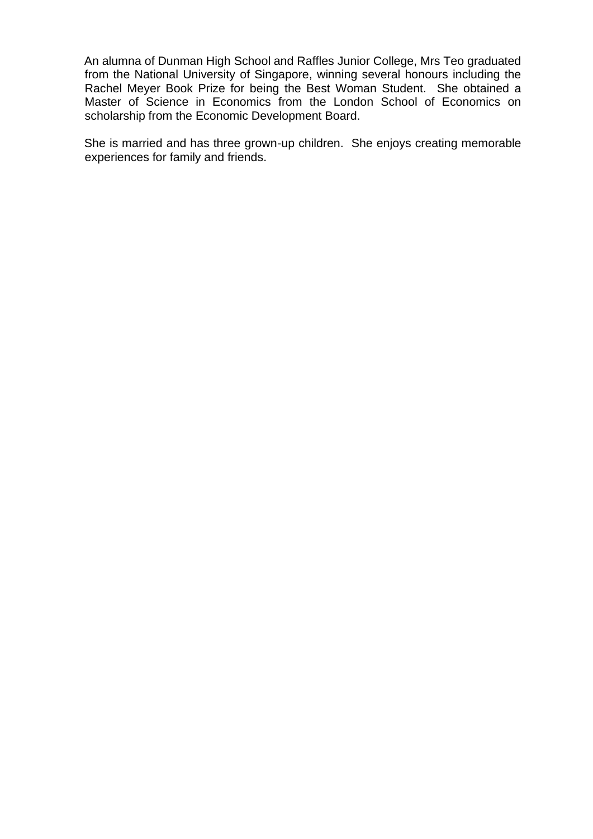An alumna of Dunman High School and Raffles Junior College, Mrs Teo graduated from the National University of Singapore, winning several honours including the Rachel Meyer Book Prize for being the Best Woman Student. She obtained a Master of Science in Economics from the London School of Economics on scholarship from the Economic Development Board.

She is married and has three grown-up children. She enjoys creating memorable experiences for family and friends.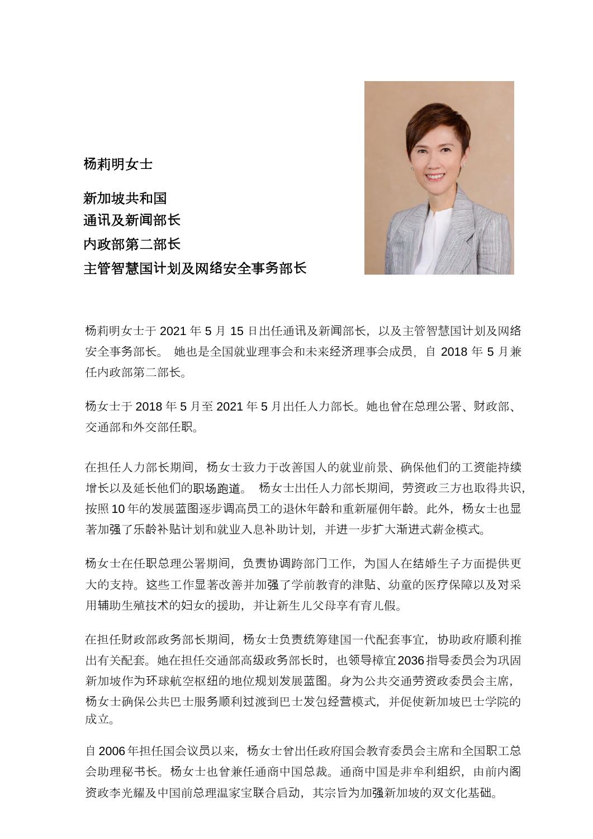

**杨**莉明女士

新加坡共和国 通**讯**及新**闻**部**长** 内政部第二部**长** 主管智慧国**计**划及网**络**安全事**务**部**长**

杨莉明女士于 2021 年 5 月 15 日出任通讯及新闻部长,以及主管智慧国计划及网络 安全事务部长。 她也是全国就业理事会和未来经济理事会成员, 自 2018 年 5 月兼 任内政部第二部长。

杨女士于 2018 年 5 月至 2021 年 5 月出任人力部长。她也曾在总理公署、财政部、 交通部和外交部任职。

在担任人力部长期间,杨女士致力于改善国人的就业前景、确保他们的工资能持续 增长以及延长他们的职场跑道。 杨女士出任人力部长期间,劳资政三方也取得共识, 按照 10 年的发展蓝图逐步调高员工的退休年龄和重新雇佣年龄。此外,杨女士也显 著加强了乐龄补贴计划和就业入息补助计划,并进一步扩大渐进式薪金模式。

杨女士在任职总理公署期间,负责协调跨部门工作,为国人在结婚生子方面提供更 大的支持。这些工作显著改善并加强了学前教育的津贴、幼童的医疗保障以及对采 用辅助生殖技术的妇女的援助,并让新生儿父母享有育儿假。

在担任财政部政务部长期间,杨女士负责统筹建国一代配套事宜,协助政府顺利推 出有关配套。她在担任交通部高级政务部长时,也领导樟宜2036指导委员会为巩固 新加坡作为环球航空枢纽的地位规划发展蓝图。身为公共交通劳资政委员会主席, 杨女士确保公共巴士服务顺利过渡到巴士发包经营模式,并促使新加坡巴士学院的 成立。

自 2006年担任国会议员以来,杨女士曾出任政府国会教育委员会主席和全国职工总 会助理秘书长。杨女士也曾兼任通商中国总裁。通商中国是非牟利组织,由前内阁 资政李光耀及中国前总理温家宝联合启动,其宗旨为加强新加坡的双文化基础。